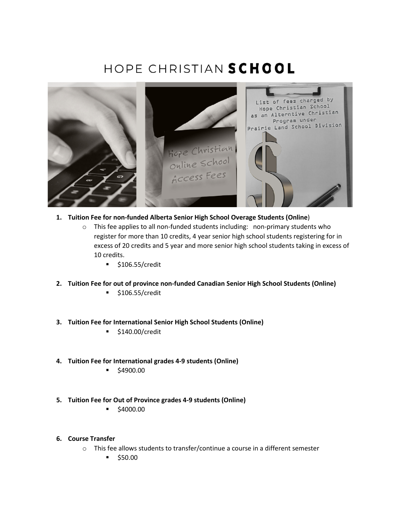# HOPE CHRISTIAN SCHOOL



- **1. Tuition Fee for non-funded Alberta Senior High School Overage Students (Online**)
	- $\circ$  This fee applies to all non-funded students including: non-primary students who register for more than 10 credits, 4 year senior high school students registering for in excess of 20 credits and 5 year and more senior high school students taking in excess of 10 credits.
		- $\bullet$  \$106.55/credit
- **2. Tuition Fee for out of province non-funded Canadian Senior High School Students (Online)**
	- $\bullet$  \$106.55/credit
- **3. Tuition Fee for International Senior High School Students (Online)**
	- **5140.00/credit**
- **4. Tuition Fee for International grades 4-9 students (Online)**
	- \$4900.00
- **5. Tuition Fee for Out of Province grades 4-9 students (Online)**
	- $\bullet$  \$4000.00
- **6. Course Transfer** 
	- o This fee allows students to transfer/continue a course in a different semester
		- $\bullet$  \$50.00